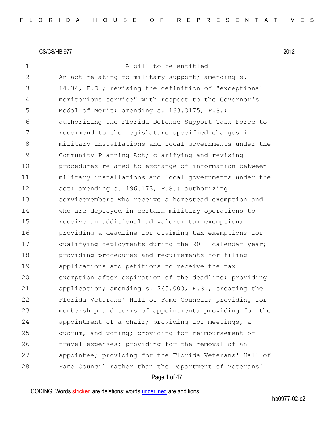Page 1 of 47 1 a bill to be entitled 2 An act relating to military support; amending s. 3 14.34, F.S.; revising the definition of "exceptional 4 meritorious service" with respect to the Governor's 5 Medal of Merit; amending s. 163.3175, F.S.; 6 authorizing the Florida Defense Support Task Force to 7 **recommend to the Legislature specified changes in** 8 8 military installations and local governments under the 9 Community Planning Act; clarifying and revising 10 **procedures related to exchange of information between** 11 military installations and local governments under the 12 act; amending s. 196.173, F.S.; authorizing 13 Servicemembers who receive a homestead exemption and 14 who are deployed in certain military operations to 15 receive an additional ad valorem tax exemption; 16 **providing a deadline for claiming tax exemptions for** 17 qualifying deployments during the 2011 calendar year; 18 **providing procedures and requirements for filing** 19 applications and petitions to receive the tax 20 exemption after expiration of the deadline; providing 21 application; amending s. 265.003, F.S.; creating the 22 Florida Veterans' Hall of Fame Council; providing for 23 membership and terms of appointment; providing for the 24 appointment of a chair; providing for meetings, a 25 quorum, and voting; providing for reimbursement of 26 travel expenses; providing for the removal of an 27 appointee; providing for the Florida Veterans' Hall of 28 Fame Council rather than the Department of Veterans'

CODING: Words stricken are deletions; words underlined are additions.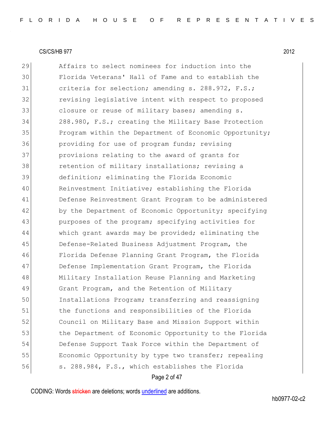Affairs to select nominees for induction into the Florida Veterans' Hall of Fame and to establish the 31 criteria for selection; amending s. 288.972, F.S.; 32 revising legislative intent with respect to proposed 33 closure or reuse of military bases; amending s. 288.980, F.S.; creating the Military Base Protection 35 Program within the Department of Economic Opportunity; **providing for use of program funds; revising**  provisions relating to the award of grants for 38 retention of military installations; revising a definition; eliminating the Florida Economic Reinvestment Initiative; establishing the Florida Defense Reinvestment Grant Program to be administered 42 by the Department of Economic Opportunity; specifying purposes of the program; specifying activities for which grant awards may be provided; eliminating the Defense-Related Business Adjustment Program, the Florida Defense Planning Grant Program, the Florida 47 Defense Implementation Grant Program, the Florida Military Installation Reuse Planning and Marketing Grant Program, and the Retention of Military Installations Program; transferring and reassigning 51 bthe functions and responsibilities of the Florida Council on Military Base and Mission Support within 53 the Department of Economic Opportunity to the Florida Defense Support Task Force within the Department of 55 Economic Opportunity by type two transfer; repealing s. 288.984, F.S., which establishes the Florida

Page 2 of 47

CODING: Words stricken are deletions; words underlined are additions.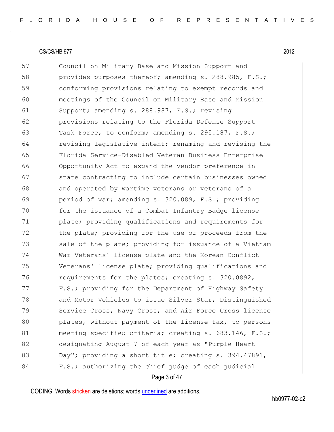57 Council on Military Base and Mission Support and 58 provides purposes thereof; amending s. 288.985, F.S.; 59 conforming provisions relating to exempt records and 60 meetings of the Council on Military Base and Mission 61 Support; amending s. 288.987, F.S.; revising 62 provisions relating to the Florida Defense Support 63 Task Force, to conform; amending s. 295.187, F.S.; 64 revising legislative intent; renaming and revising the 65 Florida Service-Disabled Veteran Business Enterprise 66 Opportunity Act to expand the vendor preference in 67 state contracting to include certain businesses owned 68 and operated by wartime veterans or veterans of a 69 period of war; amending s. 320.089, F.S.; providing 70 for the issuance of a Combat Infantry Badge license 71 plate; providing qualifications and requirements for 72 the plate; providing for the use of proceeds from the 73 Sale of the plate; providing for issuance of a Vietnam 74 War Veterans' license plate and the Korean Conflict 75 Veterans' license plate; providing qualifications and 76 requirements for the plates; creating s. 320.0892, 77 F.S.; providing for the Department of Highway Safety 78 and Motor Vehicles to issue Silver Star, Distinguished 79 Service Cross, Navy Cross, and Air Force Cross license 80 plates, without payment of the license tax, to persons 81 meeting specified criteria; creating s. 683.146, F.S.; 82 designating August 7 of each year as "Purple Heart 83 Day"; providing a short title; creating s. 394.47891, 84 F.S.; authorizing the chief judge of each judicial

Page 3 of 47

CODING: Words stricken are deletions; words underlined are additions.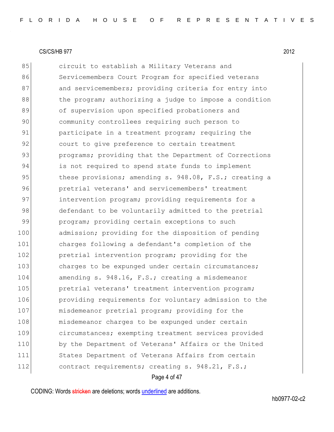85 circuit to establish a Military Veterans and 86 Servicemembers Court Program for specified veterans 87 and servicemembers; providing criteria for entry into 88 black the program; authorizing a judge to impose a condition 89 of supervision upon specified probationers and 90 community controllees requiring such person to 91 participate in a treatment program; requiring the 92 court to give preference to certain treatment 93 programs; providing that the Department of Corrections 94 is not required to spend state funds to implement 95 these provisions; amending s. 948.08, F.S.; creating a 96 pretrial veterans' and servicemembers' treatment 97 intervention program; providing requirements for a 98 defendant to be voluntarily admitted to the pretrial 99 program; providing certain exceptions to such 100 admission; providing for the disposition of pending 101 charges following a defendant's completion of the 102 **pretrial intervention program;** providing for the 103 charges to be expunged under certain circumstances; 104 amending s. 948.16, F.S.; creating a misdemeanor 105 **pretrial veterans' treatment intervention program;** 106 **providing requirements for voluntary admission to the** 107 misdemeanor pretrial program; providing for the 108 misdemeanor charges to be expunged under certain 109 circumstances; exempting treatment services provided 110 by the Department of Veterans' Affairs or the United 111 States Department of Veterans Affairs from certain 112 contract requirements; creating s. 948.21, F.S.;

Page 4 of 47

CODING: Words stricken are deletions; words underlined are additions.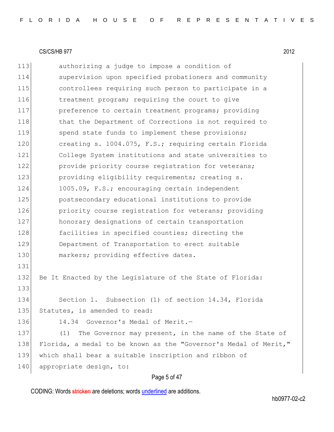113 authorizing a judge to impose a condition of 114 supervision upon specified probationers and community 115 controllees requiring such person to participate in a 116 treatment program; requiring the court to give 117 preference to certain treatment programs; providing 118 that the Department of Corrections is not required to 119 spend state funds to implement these provisions; 120 creating s. 1004.075, F.S.; requiring certain Florida 121 College System institutions and state universities to 122 provide priority course registration for veterans; 123 **providing eligibility requirements;** creating s. 124 1005.09, F.S.; encouraging certain independent 125 postsecondary educational institutions to provide 126 **priority course registration for veterans;** providing 127 honorary designations of certain transportation 128 facilities in specified counties; directing the 129 Department of Transportation to erect suitable 130 markers; providing effective dates. 131 132 Be It Enacted by the Legislature of the State of Florida: 133 134 Section 1. Subsection (1) of section 14.34, Florida 135 Statutes, is amended to read: 136 14.34 Governor's Medal of Merit.-137 (1) The Governor may present, in the name of the State of 138 Florida, a medal to be known as the "Governor's Medal of Merit," 139 which shall bear a suitable inscription and ribbon of 140 appropriate design, to:

# Page 5 of 47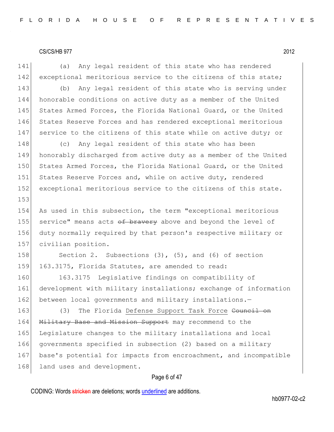Page 6 of 47 141 (a) Any legal resident of this state who has rendered 142 exceptional meritorious service to the citizens of this state; 143 (b) Any legal resident of this state who is serving under 144 honorable conditions on active duty as a member of the United 145 States Armed Forces, the Florida National Guard, or the United 146 States Reserve Forces and has rendered exceptional meritorious 147 service to the citizens of this state while on active duty; or 148 (c) Any legal resident of this state who has been 149 honorably discharged from active duty as a member of the United 150 States Armed Forces, the Florida National Guard, or the United 151 States Reserve Forces and, while on active duty, rendered 152 exceptional meritorious service to the citizens of this state. 153 154 As used in this subsection, the term "exceptional meritorious 155 service" means acts of bravery above and beyond the level of 156 duty normally required by that person's respective military or 157 civilian position. 158 Section 2. Subsections (3), (5), and (6) of section 159 163.3175, Florida Statutes, are amended to read: 160 163.3175 Legislative findings on compatibility of 161 development with military installations; exchange of information 162 between local governments and military installations.-163 (3) The Florida Defense Support Task Force Council on 164 Military Base and Mission Support may recommend to the 165 Legislature changes to the military installations and local 166 governments specified in subsection (2) based on a military 167 base's potential for impacts from encroachment, and incompatible 168 land uses and development.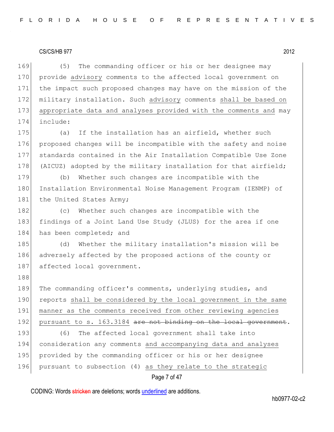188

169 (5) The commanding officer or his or her designee may 170 provide advisory comments to the affected local government on 171 the impact such proposed changes may have on the mission of the 172 military installation. Such advisory comments shall be based on 173 appropriate data and analyses provided with the comments and may 174 include:

175 (a) If the installation has an airfield, whether such 176 proposed changes will be incompatible with the safety and noise 177 standards contained in the Air Installation Compatible Use Zone 178 (AICUZ) adopted by the military installation for that airfield;

179 (b) Whether such changes are incompatible with the 180 Installation Environmental Noise Management Program (IENMP) of 181 the United States Army;

182 (c) Whether such changes are incompatible with the 183 findings of a Joint Land Use Study (JLUS) for the area if one 184 has been completed; and

185 (d) Whether the military installation's mission will be 186 adversely affected by the proposed actions of the county or 187 affected local government.

189 The commanding officer's comments, underlying studies, and 190 reports shall be considered by the local government in the same 191 manner as the comments received from other reviewing agencies 192 pursuant to s. 163.3184 are not binding on the local government. 193 (6) The affected local government shall take into 194 consideration any comments and accompanying data and analyses 195 provided by the commanding officer or his or her designee 196 pursuant to subsection (4) as they relate to the strategic

# Page 7 of 47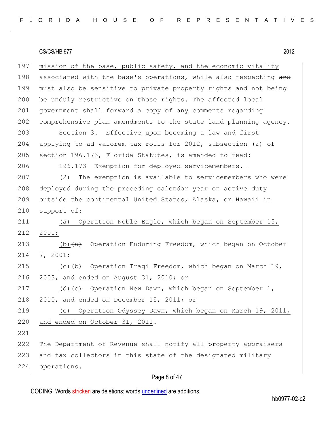197 mission of the base, public safety, and the economic vitality 198 associated with the base's operations, while also respecting and 199 must also be sensitive to private property rights and not being  $200$  be unduly restrictive on those rights. The affected local 201 government shall forward a copy of any comments regarding 202 comprehensive plan amendments to the state land planning agency. 203 Section 3. Effective upon becoming a law and first 204 applying to ad valorem tax rolls for 2012, subsection (2) of 205 section 196.173, Florida Statutes, is amended to read: 206 196.173 Exemption for deployed servicemembers.-207 (2) The exemption is available to servicemembers who were 208 deployed during the preceding calendar year on active duty 209 outside the continental United States, Alaska, or Hawaii in 210 support of: 211 (a) Operation Noble Eagle, which began on September 15, 212 2001; 213 (b)  $(a)$  Operation Enduring Freedom, which began on October 214 7, 2001; 215  $(c)$   $(b)$  Operation Iraqi Freedom, which began on March 19, 216 2003, and ended on August 31, 2010;  $\theta$ r 217 (d) (e) Operation New Dawn, which began on September 1, 218 2010, and ended on December 15, 2011; or 219 (e) Operation Odyssey Dawn, which began on March 19, 2011, 220 and ended on October 31, 2011. 221 222 The Department of Revenue shall notify all property appraisers 223 and tax collectors in this state of the designated military 224 operations.

# Page 8 of 47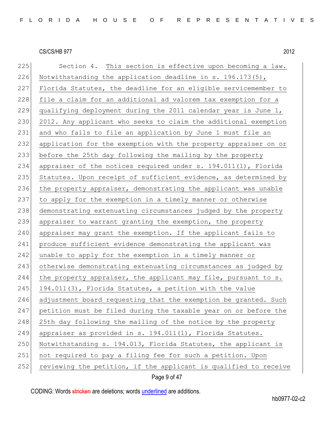225 Section 4. This section is effective upon becoming a law. 226 Notwithstanding the application deadline in s. 196.173(5), 227 Florida Statutes, the deadline for an eligible servicemember to 228 file a claim for an additional ad valorem tax exemption for a 229 qualifying deployment during the 2011 calendar year is June 1, 230 2012. Any applicant who seeks to claim the additional exemption 231 and who fails to file an application by June 1 must file an 232 application for the exemption with the property appraiser on or 233 before the 25th day following the mailing by the property 234 appraiser of the notices required under s. 194.011(1), Florida 235 Statutes. Upon receipt of sufficient evidence, as determined by 236 the property appraiser, demonstrating the applicant was unable 237 to apply for the exemption in a timely manner or otherwise 238 demonstrating extenuating circumstances judged by the property 239 appraiser to warrant granting the exemption, the property 240 appraiser may grant the exemption. If the applicant fails to 241 produce sufficient evidence demonstrating the applicant was 242 unable to apply for the exemption in a timely manner or 243 otherwise demonstrating extenuating circumstances as judged by 244 the property appraiser, the applicant may file, pursuant to s.  $245$  194.011(3), Florida Statutes, a petition with the value 246 adjustment board requesting that the exemption be granted. Such 247 petition must be filed during the taxable year on or before the 248 25th day following the mailing of the notice by the property 249 appraiser as provided in s. 194.011(1), Florida Statutes. 250 Notwithstanding s. 194.013, Florida Statutes, the applicant is 251 not required to pay a filing fee for such a petition. Upon 252 reviewing the petition, if the applicant is qualified to receive

Page 9 of 47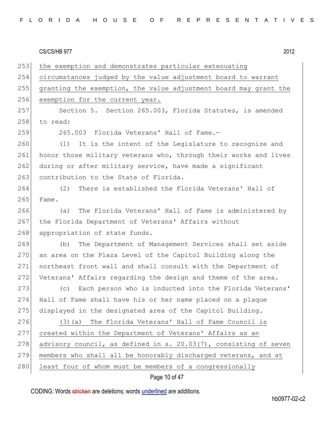253 the exemption and demonstrates particular extenuating 254 circumstances judged by the value adjustment board to warrant 255 granting the exemption, the value adjustment board may grant the 256 exemption for the current year. 257 Section 5. Section 265.003, Florida Statutes, is amended 258 to read: 259 265.003 Florida Veterans' Hall of Fame.-260 (1) It is the intent of the Legislature to recognize and 261 honor those military veterans who, through their works and lives 262 during or after military service, have made a significant 263 contribution to the State of Florida. 264 (2) There is established the Florida Veterans' Hall of 265 Fame. 266 (a) The Florida Veterans' Hall of Fame is administered by 267 the Florida Department of Veterans' Affairs without 268 appropriation of state funds. 269 (b) The Department of Management Services shall set aside 270 an area on the Plaza Level of the Capitol Building along the 271 northeast front wall and shall consult with the Department of 272 Veterans' Affairs regarding the design and theme of the area. 273 (c) Each person who is inducted into the Florida Veterans' 274 Hall of Fame shall have his or her name placed on a plaque 275 displayed in the designated area of the Capitol Building. 276 (3)(a) The Florida Veterans' Hall of Fame Council is 277 created within the Department of Veterans' Affairs as an 278 advisory council, as defined in s. 20.03(7), consisting of seven 279 members who shall all be honorably discharged veterans, and at 280 least four of whom must be members of a congressionally

# Page 10 of 47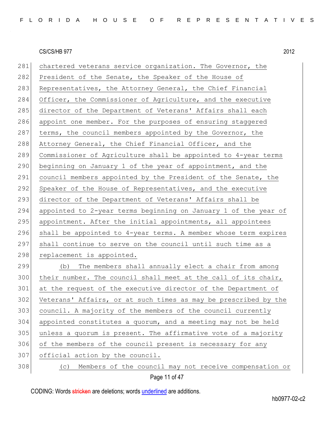281 chartered veterans service organization. The Governor, the 282 President of the Senate, the Speaker of the House of 283 Representatives, the Attorney General, the Chief Financial 284 Officer, the Commissioner of Agriculture, and the executive 285 director of the Department of Veterans' Affairs shall each 286 appoint one member. For the purposes of ensuring staggered 287 terms, the council members appointed by the Governor, the 288 Attorney General, the Chief Financial Officer, and the 289 Commissioner of Agriculture shall be appointed to 4-year terms 290 beginning on January 1 of the year of appointment, and the 291 council members appointed by the President of the Senate, the 292 Speaker of the House of Representatives, and the executive 293 director of the Department of Veterans' Affairs shall be 294 appointed to 2-year terms beginning on January 1 of the year of 295 appointment. After the initial appointments, all appointees 296 shall be appointed to  $4$ -year terms. A member whose term expires 297 shall continue to serve on the council until such time as a 298 replacement is appointed. 299 (b) The members shall annually elect a chair from among 300 their number. The council shall meet at the call of its chair, 301 at the request of the executive director of the Department of 302 Veterans' Affairs, or at such times as may be prescribed by the 303 council. A majority of the members of the council currently 304 appointed constitutes a quorum, and a meeting may not be held 305 unless a quorum is present. The affirmative vote of a majority 306 of the members of the council present is necessary for any 307 official action by the council. 308 (c) Members of the council may not receive compensation or

Page 11 of 47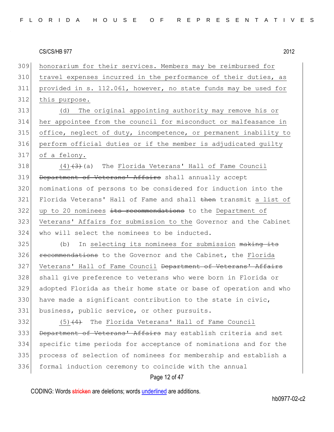honorarium for their services. Members may be reimbursed for travel expenses incurred in the performance of their duties, as provided in s. 112.061, however, no state funds may be used for 312 this purpose. (d) The original appointing authority may remove his or her appointee from the council for misconduct or malfeasance in office, neglect of duty, incompetence, or permanent inability to perform official duties or if the member is adjudicated guilty of a felony.  $(4)$   $(3)$  (a) The Florida Veterans' Hall of Fame Council 319 Department of Veterans' Affairs shall annually accept nominations of persons to be considered for induction into the 321 Florida Veterans' Hall of Fame and shall then transmit a list of up to 20 nominees its recommendations to the Department of Veterans' Affairs for submission to the Governor and the Cabinet who will select the nominees to be inducted. (b) In selecting its nominees for submission  $\frac{1}{10}$  making its **recommendations** to the Governor and the Cabinet, the Florida 327 Veterans' Hall of Fame Council Department of Veterans' Affairs 328 shall give preference to veterans who were born in Florida or adopted Florida as their home state or base of operation and who 330 have made a significant contribution to the state in civic, business, public service, or other pursuits. (5)<del>(4)</del> The Florida Veterans' Hall of Fame Council 333 Department of Veterans' Affairs may establish criteria and set specific time periods for acceptance of nominations and for the process of selection of nominees for membership and establish a

#### Page 12 of 47

CODING: Words stricken are deletions; words underlined are additions.

formal induction ceremony to coincide with the annual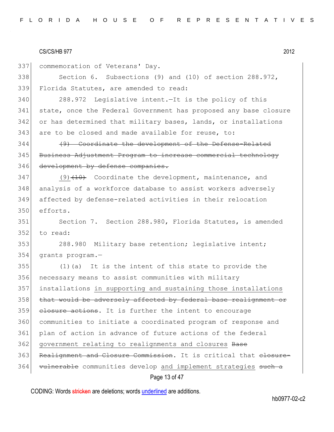Page 13 of 47 337 commemoration of Veterans' Day. 338 Section 6. Subsections (9) and (10) of section 288.972, 339 Florida Statutes, are amended to read: 340 288.972 Legislative intent.—It is the policy of this 341 state, once the Federal Government has proposed any base closure 342 or has determined that military bases, lands, or installations 343 are to be closed and made available for reuse, to: 344 (9) Coordinate the development of the Defense-Related 345 Business Adjustment Program to increase commercial technology 346 development by defense companies.  $347$  (9)<del>(10)</del> Coordinate the development, maintenance, and 348 analysis of a workforce database to assist workers adversely 349 affected by defense-related activities in their relocation 350 efforts. 351 Section 7. Section 288.980, Florida Statutes, is amended 352 to read: 353 288.980 Military base retention; legislative intent; 354 grants program.— 355 (1)(a) It is the intent of this state to provide the 356 necessary means to assist communities with military 357 installations in supporting and sustaining those installations 358 that would be adversely affected by federal base realignment or 359 closure actions. It is further the intent to encourage 360 communities to initiate a coordinated program of response and 361 plan of action in advance of future actions of the federal 362 government relating to realignments and closures Base 363 Realignment and Closure Commission. It is critical that elosure-364 vulnerable communities develop and implement strategies such a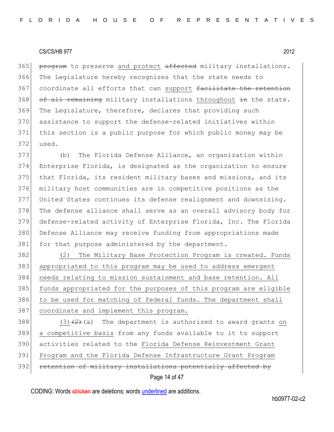365 program to preserve and protect affected military installations. The Legislature hereby recognizes that the state needs to 367 coordinate all efforts that can support facilitate the retention of all remaining military installations throughout in the state. The Legislature, therefore, declares that providing such assistance to support the defense-related initiatives within this section is a public purpose for which public money may be 372 used.

373 (b) The Florida Defense Alliance, an organization within 374 Enterprise Florida, is designated as the organization to ensure 375 that Florida, its resident military bases and missions, and its 376 military host communities are in competitive positions as the 377 United States continues its defense realignment and downsizing. 378 The defense alliance shall serve as an overall advisory body for 379 defense-related activity of Enterprise Florida, Inc. The Florida 380 Defense Alliance may receive funding from appropriations made 381 for that purpose administered by the department.

382 (2) The Military Base Protection Program is created. Funds 383 appropriated to this program may be used to address emergent 384 needs relating to mission sustainment and base retention. All 385 funds appropriated for the purposes of this program are eligible 386 to be used for matching of federal funds. The department shall 387 coordinate and implement this program.

 $(3)(2)$  (3)  $(2)$  (a) The department is authorized to award grants on a competitive basis from any funds available to it to support activities related to the Florida Defense Reinvestment Grant Program and the Florida Defense Infrastructure Grant Program 392 retention of military installations potentially affected by

Page 14 of 47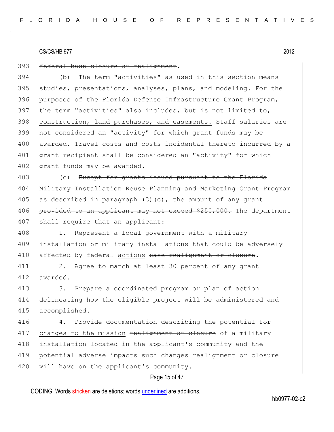393 federal base closure or realignment.

 (b) The term "activities" as used in this section means studies, presentations, analyses, plans, and modeling. For the purposes of the Florida Defense Infrastructure Grant Program, 397 the term "activities" also includes, but is not limited to, construction, land purchases, and easements. Staff salaries are not considered an "activity" for which grant funds may be 400 awarded. Travel costs and costs incidental thereto incurred by a grant recipient shall be considered an "activity" for which 402 grant funds may be awarded.

403 (c) Except for grants issued pursuant to the Florida 404 Military Installation Reuse Planning and Marketing Grant Program  $405$  as described in paragraph (3)(c), the amount of any grant 406 provided to an applicant may not exceed \$250,000. The department 407 shall require that an applicant:

408 1. Represent a local government with a military 409 installation or military installations that could be adversely 410 affected by federal actions base realignment or closure.

411 2. Agree to match at least 30 percent of any grant 412 awarded.

413 3. Prepare a coordinated program or plan of action 414 delineating how the eligible project will be administered and 415 accomplished.

416 4. Provide documentation describing the potential for 417 changes to the mission realignment or closure of a military 418 installation located in the applicant's community and the 419 potential adverse impacts such changes realignment or closure 420 will have on the applicant's community.

#### Page 15 of 47

CODING: Words stricken are deletions; words underlined are additions.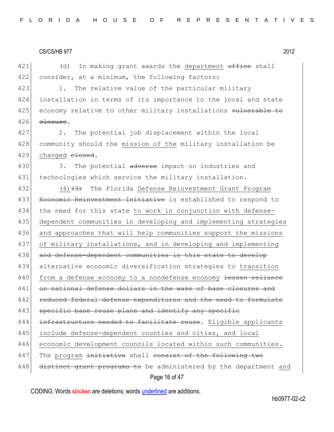421  $\vert$  (d) In making grant awards the department office shall 422 consider, at a minimum, the following factors:

423 1. The relative value of the particular military 424 installation in terms of its importance to the local and state 425 economy relative to other military installations vulnerable to  $426$   $e$   $e$   $e$ .

427 2. The potential job displacement within the local 428 community should the mission of the military installation be 429 changed elosed.

430 3. The potential adverse impact on industries and 431 technologies which service the military installation.

Page 16 of 47 432 (4) $(4)$  The Florida Defense Reinvestment Grant Program 433 Economic Reinvestment Initiative is established to respond to 434 the need for this state to work in conjunction with defense-435 dependent communities in developing and implementing strategies 436 and approaches that will help communities support the missions 437 of military installations, and in developing and implementing 438 and defense-dependent communities in this state to develop 439 alternative economic diversification strategies to transition 440 from a defense economy to a nondefense economy lessen reliance 441 on national defense dollars in the wake of base closures and 442 reduced federal defense expenditures and the need to formulate 443 specific base reuse plans and identify any specific 444 infrastructure needed to facilitate reuse. Eligible applicants 445 include defense-dependent counties and cities, and local 446 economic development councils located within such communities. 447 The program initiative shall consist of the following two 448 distinct grant programs to be administered by the department and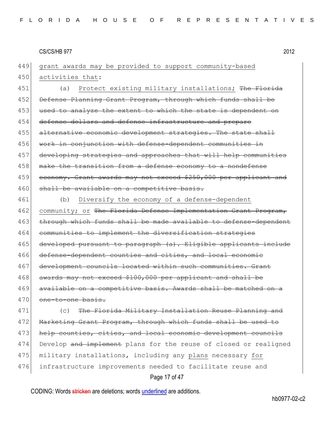449 grant awards may be provided to support community-based 450 activities that:

451 (a) Protect existing military installations; The Florida 452 Defense Planning Grant Program, through which funds shall be 453 used to analyze the extent to which the state is dependent on 454 defense dollars and defense infrastructure and prepare 455 alternative economic development strategies. The state shall 456 work in conjunction with defense-dependent communities in 457 developing strategies and approaches that will help communities 458 make the transition from a defense economy to a nondefense 459 economy. Grant awards may not exceed \$250,000 per applicant and 460 shall be available on a competitive basis.

461 (b) Diversify the economy of a defense-dependent  $462$  community; or The Florida Defense Implementation Grant Program, 463 through which funds shall be made available to defense-dependent 464 communities to implement the diversification strategies 465 developed pursuant to paragraph (a). Eligible applicants include 466 defense-dependent counties and cities, and local economic 467 development councils located within such communities. Grant 468 awards may not exceed \$100,000 per applicant and shall be 469 available on a competitive basis. Awards shall be matched on a 470 one-to-one basis.

471 (c) The Florida Military Installation Reuse Planning and 472 Marketing Grant Program, through which funds shall be used to 473 help counties, cities, and local economic development councils 474 Develop and implement plans for the reuse of closed or realigned 475 military installations, including any plans necessary for 476 infrastructure improvements needed to facilitate reuse and

# Page 17 of 47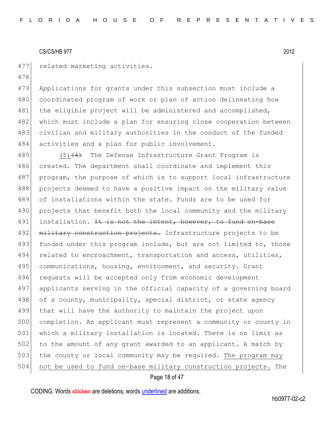478

477 related marketing activities.

479 Applications for grants under this subsection must include a 480 coordinated program of work or plan of action delineating how 481 the eligible project will be administered and accomplished, 482 which must include a plan for ensuring close cooperation between 483 civilian and military authorities in the conduct of the funded 484 activities and a plan for public involvement.

485  $(5)$   $(4)$  The Defense Infrastructure Grant Program is 486 created. The department shall coordinate and implement this 487 program, the purpose of which is to support local infrastructure 488 projects deemed to have a positive impact on the military value 489 of installations within the state. Funds are to be used for 490 projects that benefit both the local community and the military 491 installation. It is not the intent, however, to fund on-base 492 military construction projects. Infrastructure projects to be 493 funded under this program include, but are not limited to, those 494 related to encroachment, transportation and access, utilities, 495 communications, housing, environment, and security. Grant 496 requests will be accepted only from economic development 497 applicants serving in the official capacity of a governing board 498 of a county, municipality, special district, or state agency 499 that will have the authority to maintain the project upon 500 completion. An applicant must represent a community or county in 501 which a military installation is located. There is no limit as 502 to the amount of any grant awarded to an applicant. A match by 503 the county or local community may be required. The program may 504 not be used to fund on-base military construction projects. The

# Page 18 of 47

CODING: Words stricken are deletions; words underlined are additions.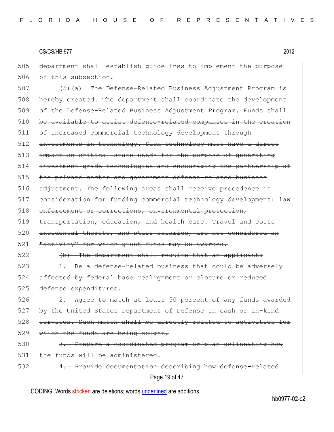505 department shall establish guidelines to implement the purpose 506 of this subsection.

507 (5)(a) The Defense-Related Business Adjustment Program is 508 hereby created. The department shall coordinate the development 509 of the Defense-Related Business Adjustment Program. Funds shall 510 be available to assist defense-related companies in the creation 511 of increased commercial technology development through 512 investments in technology. Such technology must have a direct 513 impact on critical state needs for the purpose of generating 514 investment-grade technologies and encouraging the partnership of 515 the private sector and government defense-related business 516 adjustment. The following areas shall receive precedence in 517 consideration for funding commercial technology development: law 518 enforcement or corrections, environmental protection, 519 transportation, education, and health care. Travel and costs 520 incidental thereto, and staff salaries, are not considered an 521 "activity" for which grant funds may be awarded.

522 (b) The department shall require that an applicant:

 $523$  1. Be a defense-related business that could be adversely 524 affected by federal base realignment or closure or reduced 525 defense expenditures.

 $526$  2. Agree to match at least 50 percent of any funds awarded 527 by the United States Department of Defense in cash or in-kind 528 services. Such match shall be directly related to activities for 529 which the funds are being sought.

# 530 3. Prepare a coordinated program or plan delineating how 531 the funds will be administered.

Page 19 of 47 532 4. Provide documentation describing how defense-related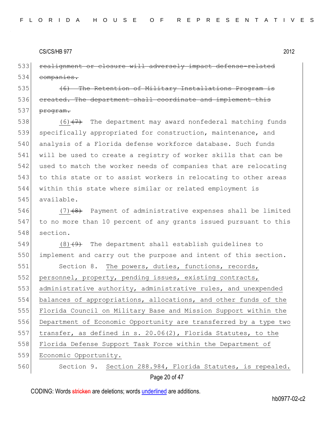533 realignment or closure will adversely impact defense-related 534 companies.

535 (6) The Retention of Military Installations Program is 536 created. The department shall coordinate and implement this 537 <del>program.</del>

538  $(6)$  (6)  $(7)$  The department may award nonfederal matching funds 539 specifically appropriated for construction, maintenance, and 540 analysis of a Florida defense workforce database. Such funds 541 will be used to create a registry of worker skills that can be 542 used to match the worker needs of companies that are relocating 543 to this state or to assist workers in relocating to other areas 544 within this state where similar or related employment is 545 available.

546  $(7)$   $(8)$  Payment of administrative expenses shall be limited 547 to no more than 10 percent of any grants issued pursuant to this 548 section.

549  $(8)$   $(9)$  The department shall establish quidelines to 550 implement and carry out the purpose and intent of this section.

551 Section 8. The powers, duties, functions, records, 552 personnel, property, pending issues, existing contracts, 553 administrative authority, administrative rules, and unexpended 554 balances of appropriations, allocations, and other funds of the 555 Florida Council on Military Base and Mission Support within the 556 Department of Economic Opportunity are transferred by a type two 557 transfer, as defined in s. 20.06(2), Florida Statutes, to the 558 Florida Defense Support Task Force within the Department of 559 Economic Opportunity. 560 Section 9. Section 288.984, Florida Statutes, is repealed.

Page 20 of 47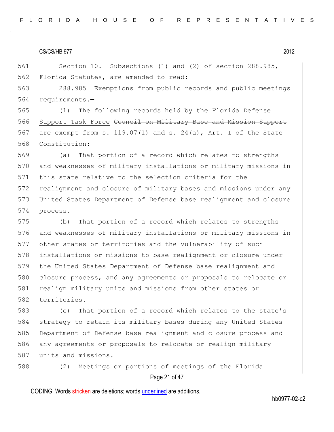561 Section 10. Subsections (1) and (2) of section 288.985, 562 Florida Statutes, are amended to read:

563 288.985 Exemptions from public records and public meetings 564 requirements.—

565 (1) The following records held by the Florida Defense 566 Support Task Force Council on Military Base and Mission Support 567 are exempt from s. 119.07(1) and s. 24(a), Art. I of the State 568 Constitution:

 (a) That portion of a record which relates to strengths 570 and weaknesses of military installations or military missions in this state relative to the selection criteria for the realignment and closure of military bases and missions under any United States Department of Defense base realignment and closure 574 process.

575 (b) That portion of a record which relates to strengths 576 and weaknesses of military installations or military missions in 577 other states or territories and the vulnerability of such 578 installations or missions to base realignment or closure under 579 the United States Department of Defense base realignment and 580 closure process, and any agreements or proposals to relocate or 581 realign military units and missions from other states or 582 territories.

583 (c) That portion of a record which relates to the state's 584 strategy to retain its military bases during any United States 585 Department of Defense base realignment and closure process and 586 any agreements or proposals to relocate or realign military 587 units and missions.

588 (2) Meetings or portions of meetings of the Florida

# Page 21 of 47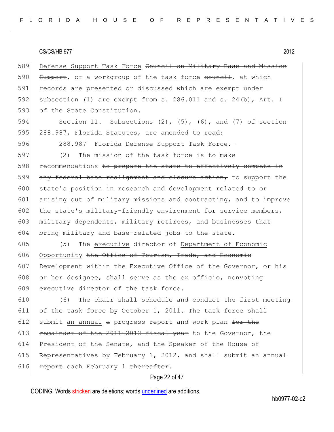589 Defense Support Task Force Council on Military Base and Mission 590 Support, or a workgroup of the task force council, at which 591 records are presented or discussed which are exempt under 592 subsection (1) are exempt from s. 286.011 and s. 24(b), Art. I 593 of the State Constitution.

594 Section 11. Subsections (2), (5), (6), and (7) of section 595 288.987, Florida Statutes, are amended to read:

596 288.987 Florida Defense Support Task Force.—

597 (2) The mission of the task force is to make 598 recommendations to prepare the state to effectively compete in 599 any federal base realignment and closure action, to support the 600 state's position in research and development related to or 601 arising out of military missions and contracting, and to improve 602 the state's military-friendly environment for service members, 603 military dependents, military retirees, and businesses that 604 bring military and base-related jobs to the state.

605 (5) The executive director of Department of Economic 606 Opportunity the Office of Tourism, Trade, and Economic 607 Development within the Executive Office of the Governor, or his 608 or her designee, shall serve as the ex officio, nonvoting 609 executive director of the task force.

 $610$  (6) The chair shall schedule and conduct the first meeting 611 of the task force by October 1, 2011. The task force shall 612 submit an annual  $a$  progress report and work plan  $f$ or the 613 **remainder of the 2011-2012 fiscal year** to the Governor, the 614 President of the Senate, and the Speaker of the House of 615 Representatives by February 1, 2012, and shall submit an annual 616 **report** each February 1 thereafter.

#### Page 22 of 47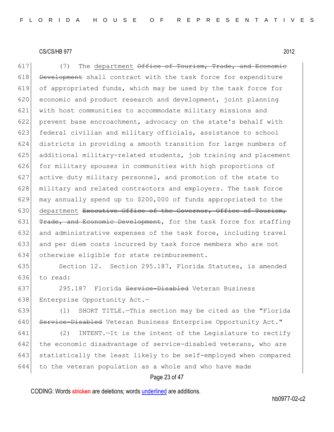617  $(7)$  The department  $\theta$ ffice of Tourism, Trade, and Economic 618 Development shall contract with the task force for expenditure 619 of appropriated funds, which may be used by the task force for 620 economic and product research and development, joint planning 621 | with host communities to accommodate military missions and 622 prevent base encroachment, advocacy on the state's behalf with 623 federal civilian and military officials, assistance to school 624 districts in providing a smooth transition for large numbers of 625 additional military-related students, job training and placement 626 for military spouses in communities with high proportions of 627 active duty military personnel, and promotion of the state to 628 military and related contractors and employers. The task force 629 may annually spend up to \$200,000 of funds appropriated to the 630 department Executive Office of the Governor, Office of Tourism, 631 Trade, and Economic Development, for the task force for staffing 632 and administrative expenses of the task force, including travel 633 and per diem costs incurred by task force members who are not 634 otherwise eligible for state reimbursement.

635 Section 12. Section 295.187, Florida Statutes, is amended 636 to read:

637 295.187 Florida Service-Disabled Veteran Business 638 Enterprise Opportunity Act.-

639 (1) SHORT TITLE.—This section may be cited as the "Florida 640 Service-Disabled Veteran Business Enterprise Opportunity Act."

 (2) INTENT.—It is the intent of the Legislature to rectify 642 the economic disadvantage of service-disabled veterans, who are statistically the least likely to be self-employed when compared to the veteran population as a whole and who have made

# Page 23 of 47

CODING: Words stricken are deletions; words underlined are additions.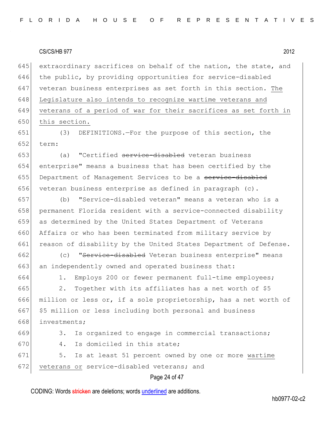645 extraordinary sacrifices on behalf of the nation, the state, and 646 the public, by providing opportunities for service-disabled 647 veteran business enterprises as set forth in this section. The 648 Legislature also intends to recognize wartime veterans and 649 veterans of a period of war for their sacrifices as set forth in 650 this section.

651 (3) DEFINITIONS.—For the purpose of this section, the 652 term:

653 (a) "Certified service-disabled veteran business 654 enterprise" means a business that has been certified by the 655 Department of Management Services to be a service-disabled 656 veteran business enterprise as defined in paragraph  $(c)$ .

657 (b) "Service-disabled veteran" means a veteran who is a 658 permanent Florida resident with a service-connected disability 659 as determined by the United States Department of Veterans 660 Affairs or who has been terminated from military service by 661 reason of disability by the United States Department of Defense.

662 (c) "Service-disabled Veteran business enterprise" means 663 an independently owned and operated business that:

664 1. Employs 200 or fewer permanent full-time employees;

665 2. Together with its affiliates has a net worth of  $$5$ 666 million or less or, if a sole proprietorship, has a net worth of 667 \$5 million or less including both personal and business 668 investments;

```
669 3. Is organized to engage in commercial transactions;
670 4. Is domiciled in this state:
671 5. Is at least 51 percent owned by one or more wartime
```
672 veterans or service-disabled veterans; and

# Page 24 of 47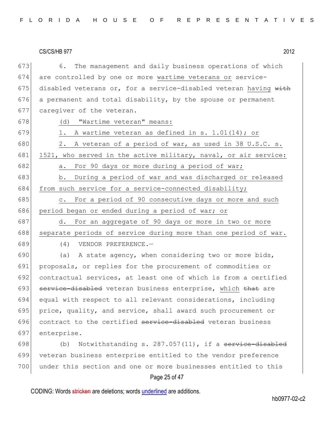673 6. The management and daily business operations of which 674 are controlled by one or more wartime veterans or service-675 disabled veterans or, for a service-disabled veteran having with  $676$  a permanent and total disability, by the spouse or permanent 677 caregiver of the veteran.

678 (d) "Wartime veteran" means:

- 679 1. A wartime veteran as defined in s.  $1.01(14)$ ; or 680 2. A veteran of a period of war, as used in 38 U.S.C. s. 681 1521, who served in the active military, naval, or air service: 682 a. For 90 days or more during a period of war; 683 b. During a period of war and was discharged or released 684 from such service for a service-connected disability;
- 685 c. For a period of 90 consecutive days or more and such 686 period began or ended during a period of war; or
- 687 d. For an aggregate of 90 days or more in two or more 688 separate periods of service during more than one period of war. 689 (4) VENDOR PREFERENCE.—

690 (a) A state agency, when considering two or more bids, proposals, or replies for the procurement of commodities or contractual services, at least one of which is from a certified 693 service-disabled veteran business enterprise, which that are equal with respect to all relevant considerations, including price, quality, and service, shall award such procurement or 696 contract to the certified service-disabled veteran business enterprise.

698  $(b)$  Notwithstanding s. 287.057(11), if a service-disabled 699 veteran business enterprise entitled to the vendor preference 700 under this section and one or more businesses entitled to this

# Page 25 of 47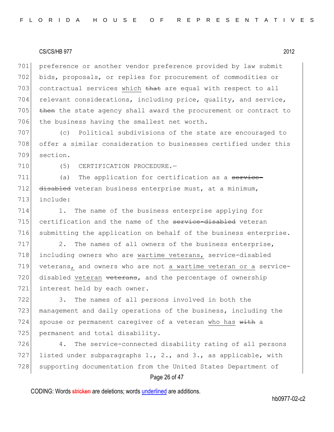701 preference or another vendor preference provided by law submit 702 bids, proposals, or replies for procurement of commodities or 703 contractual services which that are equal with respect to all 704 relevant considerations, including price, quality, and service, 705 then the state agency shall award the procurement or contract to 706 the business having the smallest net worth.

707 (c) Political subdivisions of the state are encouraged to 708 offer a similar consideration to businesses certified under this 709 section.

710 (5) CERTIFICATION PROCEDURE.

711 (a) The application for certification as a service-712 disabled veteran business enterprise must, at a minimum, 713 include:

714 1. The name of the business enterprise applying for 715 certification and the name of the service-disabled veteran 716 submitting the application on behalf of the business enterprise.

 $717$  2. The names of all owners of the business enterprise, 718 including owners who are wartime veterans, service-disabled 719 veterans, and owners who are not a wartime veteran or a service-720 disabled veteran veterans, and the percentage of ownership 721 interest held by each owner.

722 3. The names of all persons involved in both the 723 management and daily operations of the business, including the 724 spouse or permanent caregiver of a veteran who has  $with a$ 725 permanent and total disability.

726 4. The service-connected disability rating of all persons 727 listed under subparagraphs 1., 2., and 3., as applicable, with 728 supporting documentation from the United States Department of

# Page 26 of 47

CODING: Words stricken are deletions; words underlined are additions.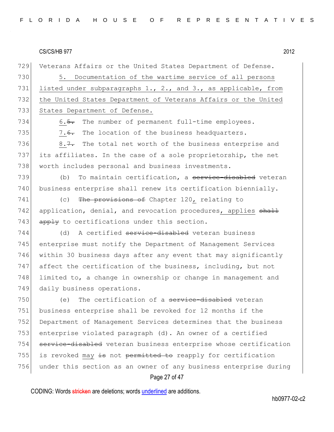729 Veterans Affairs or the United States Department of Defense. 730 5. Documentation of the wartime service of all persons 731 listed under subparagraphs 1., 2., and 3., as applicable, from 732 the United States Department of Veterans Affairs or the United 733 States Department of Defense.

734 6.5. The number of permanent full-time employees. 735  $\vert$  7.<del>6.</del> The location of the business headquarters.

736 8.7. The total net worth of the business enterprise and 737 its affiliates. In the case of a sole proprietorship, the net 738 worth includes personal and business investments.

739 (b) To maintain certification, a service-disabled veteran 740 business enterprise shall renew its certification biennially.

741 (c) The provisions of Chapter 120, relating to 742 application, denial, and revocation procedures, applies shall 743  $\left| \right|$  apply to certifications under this section.

744 (d) A certified service-disabled veteran business 745 enterprise must notify the Department of Management Services 746 within 30 business days after any event that may significantly 747 affect the certification of the business, including, but not 748 limited to, a change in ownership or change in management and 749 daily business operations.

750 (e) The certification of a service-disabled veteran 751 business enterprise shall be revoked for 12 months if the 752 Department of Management Services determines that the business 753 enterprise violated paragraph (d). An owner of a certified 754 service-disabled veteran business enterprise whose certification 755 is revoked may  $\frac{1}{15}$  not permitted to reapply for certification 756 under this section as an owner of any business enterprise during

# Page 27 of 47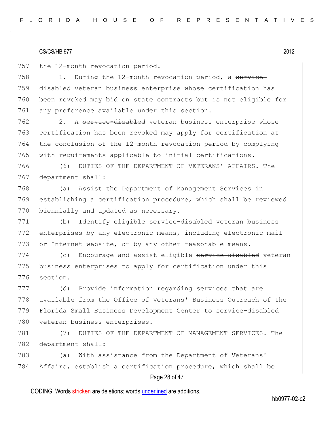757 the 12-month revocation period.

758 1. During the 12-month revocation period, a service-759 disabled veteran business enterprise whose certification has 760 been revoked may bid on state contracts but is not eligible for 761 any preference available under this section.

762 2. A service-disabled veteran business enterprise whose certification has been revoked may apply for certification at the conclusion of the 12-month revocation period by complying with requirements applicable to initial certifications.

766 (6) DUTIES OF THE DEPARTMENT OF VETERANS' AFFAIRS.—The 767 department shall:

768 (a) Assist the Department of Management Services in 769 establishing a certification procedure, which shall be reviewed 770 biennially and updated as necessary.

771 (b) Identify eligible service-disabled veteran business 772 enterprises by any electronic means, including electronic mail 773 or Internet website, or by any other reasonable means.

774 (c) Encourage and assist eligible service-disabled veteran 775 business enterprises to apply for certification under this 776 section.

777 (d) Provide information regarding services that are 778 available from the Office of Veterans' Business Outreach of the 779 Florida Small Business Development Center to service-disabled 780 veteran business enterprises.

781 (7) DUTIES OF THE DEPARTMENT OF MANAGEMENT SERVICES.—The 782 department shall:

783 (a) With assistance from the Department of Veterans' 784 Affairs, establish a certification procedure, which shall be

# Page 28 of 47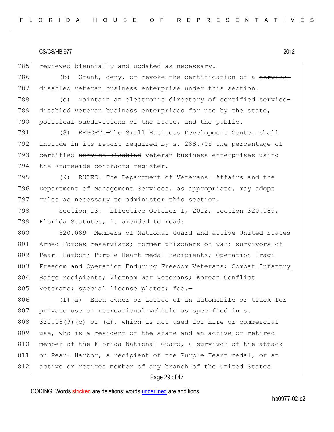785 reviewed biennially and updated as necessary.

786 (b) Grant, deny, or revoke the certification of a service-787 disabled veteran business enterprise under this section.

788 (c) Maintain an electronic directory of certified service-789 disabled veteran business enterprises for use by the state, 790 political subdivisions of the state, and the public.

791 (8) REPORT.—The Small Business Development Center shall 792 include in its report required by s. 288.705 the percentage of 793 certified service-disabled veteran business enterprises using 794 the statewide contracts register.

795 (9) RULES.—The Department of Veterans' Affairs and the 796 Department of Management Services, as appropriate, may adopt 797 rules as necessary to administer this section.

798 Section 13. Effective October 1, 2012, section 320.089, 799 Florida Statutes, is amended to read:

800 320.089 Members of National Guard and active United States 801 Armed Forces reservists; former prisoners of war; survivors of 802 Pearl Harbor; Purple Heart medal recipients; Operation Iraqi 803 Freedom and Operation Enduring Freedom Veterans; Combat Infantry 804 Badge recipients; Vietnam War Veterans; Korean Conflict 805 Veterans; special license plates; fee.-

806 (1)(a) Each owner or lessee of an automobile or truck for 807 private use or recreational vehicle as specified in s.  $808$  320.08(9)(c) or (d), which is not used for hire or commercial 809 use, who is a resident of the state and an active or retired 810 | member of the Florida National Guard, a survivor of the attack 811 on Pearl Harbor, a recipient of the Purple Heart medal,  $\Theta$  an 812 active or retired member of any branch of the United States

# Page 29 of 47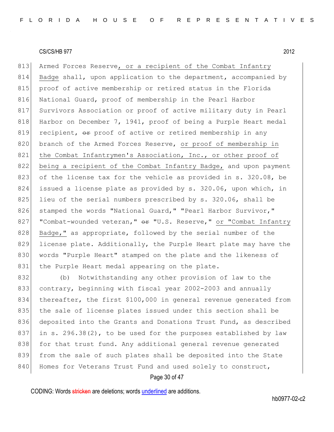813 Armed Forces Reserve, or a recipient of the Combat Infantry 814 Badge shall, upon application to the department, accompanied by 815 proof of active membership or retired status in the Florida 816 National Guard, proof of membership in the Pearl Harbor 817 Survivors Association or proof of active military duty in Pearl 818 Harbor on December 7, 1941, proof of being a Purple Heart medal 819 recipient,  $\Theta$  proof of active or retired membership in any 820 branch of the Armed Forces Reserve, or proof of membership in 821 the Combat Infantrymen's Association, Inc., or other proof of 822 being a recipient of the Combat Infantry Badge, and upon payment 823 of the license tax for the vehicle as provided in s. 320.08, be 824 issued a license plate as provided by s. 320.06, upon which, in 825 lieu of the serial numbers prescribed by s. 320.06, shall be 826 stamped the words "National Guard," "Pearl Harbor Survivor," 827  $|$  "Combat-wounded veteran,"  $\theta$ r "U.S. Reserve," or "Combat Infantry 828 Badge," as appropriate, followed by the serial number of the 829 license plate. Additionally, the Purple Heart plate may have the 830 words "Purple Heart" stamped on the plate and the likeness of 831 the Purple Heart medal appearing on the plate.

832 (b) Notwithstanding any other provision of law to the 833 contrary, beginning with fiscal year 2002-2003 and annually 834 thereafter, the first \$100,000 in general revenue generated from 835 the sale of license plates issued under this section shall be 836 deposited into the Grants and Donations Trust Fund, as described 837 in s. 296.38(2), to be used for the purposes established by law 838 for that trust fund. Any additional general revenue generated 839 from the sale of such plates shall be deposited into the State 840 Homes for Veterans Trust Fund and used solely to construct,

# Page 30 of 47

CODING: Words stricken are deletions; words underlined are additions.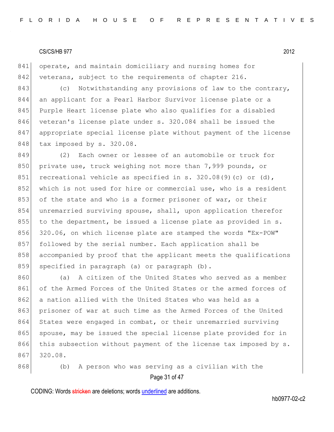841 operate, and maintain domiciliary and nursing homes for 842 veterans, subject to the requirements of chapter 216.

843 (c) Notwithstanding any provisions of law to the contrary, 844 an applicant for a Pearl Harbor Survivor license plate or a 845 Purple Heart license plate who also qualifies for a disabled 846 veteran's license plate under s. 320.084 shall be issued the 847 appropriate special license plate without payment of the license 848 tax imposed by s. 320.08.

849 (2) Each owner or lessee of an automobile or truck for 850 private use, truck weighing not more than 7,999 pounds, or 851 recreational vehicle as specified in s. 320.08(9)(c) or (d), 852 which is not used for hire or commercial use, who is a resident 853 of the state and who is a former prisoner of war, or their 854 unremarried surviving spouse, shall, upon application therefor 855 to the department, be issued a license plate as provided in s. 856 320.06, on which license plate are stamped the words "Ex-POW" 857 followed by the serial number. Each application shall be 858 accompanied by proof that the applicant meets the qualifications 859 specified in paragraph (a) or paragraph (b).

860 (a) A citizen of the United States who served as a member 861 of the Armed Forces of the United States or the armed forces of 862 a nation allied with the United States who was held as a 863 prisoner of war at such time as the Armed Forces of the United 864 States were engaged in combat, or their unremarried surviving 865 spouse, may be issued the special license plate provided for in 866 this subsection without payment of the license tax imposed by s. 867 320.08.

Page 31 of 47 868 (b) A person who was serving as a civilian with the

CODING: Words stricken are deletions; words underlined are additions.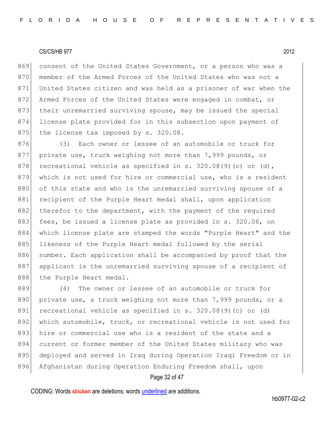869 consent of the United States Government, or a person who was a 870 member of the Armed Forces of the United States who was not a 871 United States citizen and was held as a prisoner of war when the 872 Armed Forces of the United States were engaged in combat, or 873 their unremarried surviving spouse, may be issued the special 874 license plate provided for in this subsection upon payment of 875 the license tax imposed by s. 320.08.

876 (3) Each owner or lessee of an automobile or truck for 877 private use, truck weighing not more than 7,999 pounds, or 878 recreational vehicle as specified in s. 320.08(9)(c) or (d), 879 which is not used for hire or commercial use, who is a resident 880 of this state and who is the unremarried surviving spouse of a 881 recipient of the Purple Heart medal shall, upon application 882 therefor to the department, with the payment of the required 883 fees, be issued a license plate as provided in s. 320.06, on 884 which license plate are stamped the words "Purple Heart" and the 885 likeness of the Purple Heart medal followed by the serial 886 number. Each application shall be accompanied by proof that the 887 applicant is the unremarried surviving spouse of a recipient of 888 the Purple Heart medal.

889 (4) The owner or lessee of an automobile or truck for 890 private use, a truck weighing not more than 7,999 pounds, or a 891 recreational vehicle as specified in s. 320.08(9)(c) or (d) 892 which automobile, truck, or recreational vehicle is not used for 893 hire or commercial use who is a resident of the state and a 894 current or former member of the United States military who was 895 deployed and served in Iraq during Operation Iraqi Freedom or in 896 Afghanistan during Operation Enduring Freedom shall, upon

# Page 32 of 47

CODING: Words stricken are deletions; words underlined are additions.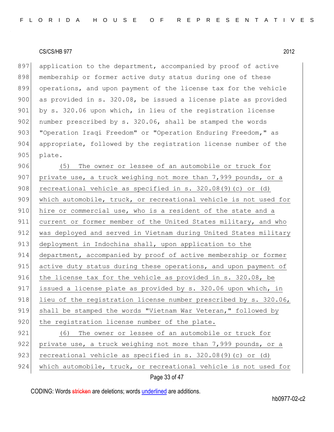897 application to the department, accompanied by proof of active 898 membership or former active duty status during one of these 899 operations, and upon payment of the license tax for the vehicle 900 as provided in s. 320.08, be issued a license plate as provided 901 by s. 320.06 upon which, in lieu of the registration license 902 number prescribed by s. 320.06, shall be stamped the words 903 "Operation Iraqi Freedom" or "Operation Enduring Freedom," as 904 appropriate, followed by the registration license number of the 905 plate.

906 (5) The owner or lessee of an automobile or truck for 907 private use, a truck weighing not more than 7,999 pounds, or a 908 recreational vehicle as specified in s. 320.08(9)(c) or (d) 909 which automobile, truck, or recreational vehicle is not used for 910 hire or commercial use, who is a resident of the state and a 911 current or former member of the United States military, and who 912 was deployed and served in Vietnam during United States military 913 deployment in Indochina shall, upon application to the 914 department, accompanied by proof of active membership or former 915 active duty status during these operations, and upon payment of 916 the license tax for the vehicle as provided in s. 320.08, be 917 issued a license plate as provided by s. 320.06 upon which, in 918 lieu of the registration license number prescribed by s. 320.06, 919 shall be stamped the words "Vietnam War Veteran," followed by 920 the registration license number of the plate. 921 (6) The owner or lessee of an automobile or truck for 922 private use, a truck weighing not more than 7,999 pounds, or a 923 recreational vehicle as specified in s.  $320.08(9)(c)$  or (d) 924 which automobile, truck, or recreational vehicle is not used for

```
Page 33 of 47
```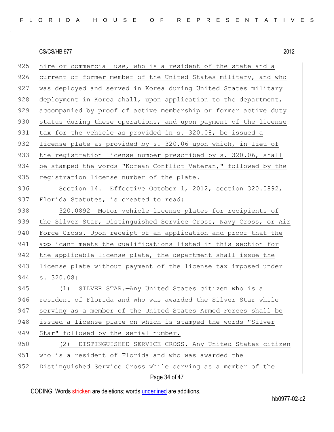$925$  hire or commercial use, who is a resident of the state and a 926 current or former member of the United States military, and who 927 was deployed and served in Korea during United States military 928 deployment in Korea shall, upon application to the department, 929 accompanied by proof of active membership or former active duty 930 status during these operations, and upon payment of the license 931 tax for the vehicle as provided in s. 320.08, be issued a 932 license plate as provided by s. 320.06 upon which, in lieu of 933 the registration license number prescribed by s. 320.06, shall 934 be stamped the words "Korean Conflict Veteran," followed by the 935 registration license number of the plate. 936 Section 14. Effective October 1, 2012, section 320.0892, 937 Florida Statutes, is created to read: 938 320.0892 Motor vehicle license plates for recipients of 939 the Silver Star, Distinguished Service Cross, Navy Cross, or Air 940 Force Cross.—Upon receipt of an application and proof that the 941 applicant meets the qualifications listed in this section for 942 the applicable license plate, the department shall issue the 943 license plate without payment of the license tax imposed under 944 s. 320.08: 945 (1) SILVER STAR.—Any United States citizen who is a 946 resident of Florida and who was awarded the Silver Star while 947 serving as a member of the United States Armed Forces shall be 948 issued a license plate on which is stamped the words "Silver" 949 Star" followed by the serial number. 950 (2) DISTINGUISHED SERVICE CROSS.—Any United States citizen 951 who is a resident of Florida and who was awarded the 952 Distinguished Service Cross while serving as a member of the

Page 34 of 47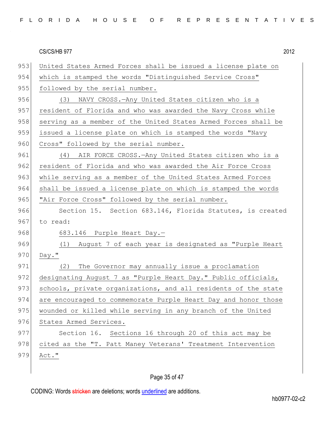| FLORIDA HOUSE OF REPRESENTATIVES |  |
|----------------------------------|--|
|----------------------------------|--|

953 United States Armed Forces shall be issued a license plate on 954 which is stamped the words "Distinguished Service Cross" 955 followed by the serial number. 956 (3) NAVY CROSS.—Any United States citizen who is a 957 resident of Florida and who was awarded the Navy Cross while 958 serving as a member of the United States Armed Forces shall be 959 issued a license plate on which is stamped the words "Navy 960 Cross" followed by the serial number. 961 (4) AIR FORCE CROSS.—Any United States citizen who is a 962 resident of Florida and who was awarded the Air Force Cross 963 while serving as a member of the United States Armed Forces 964 shall be issued a license plate on which is stamped the words 965 | "Air Force Cross" followed by the serial number. 966 Section 15. Section 683.146, Florida Statutes, is created 967 to read: 968 683.146 Purple Heart Day.-969 (1) August 7 of each year is designated as "Purple Heart 970 Day." 971 (2) The Governor may annually issue a proclamation 972 designating August 7 as "Purple Heart Day." Public officials, 973 schools, private organizations, and all residents of the state 974 are encouraged to commemorate Purple Heart Day and honor those 975 wounded or killed while serving in any branch of the United 976 States Armed Services. 977 Section 16. Sections 16 through 20 of this act may be 978 cited as the "T. Patt Maney Veterans' Treatment Intervention 979 Act."

# Page 35 of 47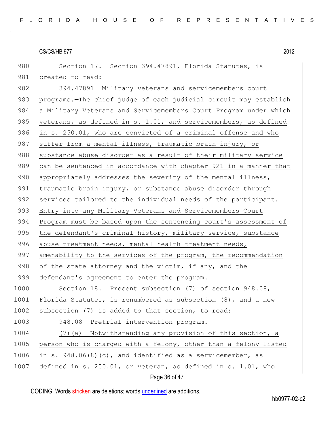980 Section 17. Section 394.47891, Florida Statutes, is

982 394.47891 Military veterans and servicemembers court

#### CS/CS/HB 977 2012

981 created to read:

983 programs.—The chief judge of each judicial circuit may establish 984 a Military Veterans and Servicemembers Court Program under which 985 veterans, as defined in s. 1.01, and servicemembers, as defined 986 in s. 250.01, who are convicted of a criminal offense and who 987 suffer from a mental illness, traumatic brain injury, or 988 substance abuse disorder as a result of their military service 989 can be sentenced in accordance with chapter 921 in a manner that 990 appropriately addresses the severity of the mental illness, 991 traumatic brain injury, or substance abuse disorder through 992 services tailored to the individual needs of the participant. 993 Entry into any Military Veterans and Servicemembers Court 994 Program must be based upon the sentencing court's assessment of 995 the defendant's criminal history, military service, substance 996 abuse treatment needs, mental health treatment needs, 997 amenability to the services of the program, the recommendation 998 of the state attorney and the victim, if any, and the 999 defendant's agreement to enter the program. 1000 Section 18. Present subsection (7) of section 948.08, 1001 Florida Statutes, is renumbered as subsection (8), and a new

1002 subsection (7) is added to that section, to read: 1003 948.08 Pretrial intervention program.-1004 (7)(a) Notwithstanding any provision of this section, a 1005 person who is charged with a felony, other than a felony listed 1006 in s. 948.06(8)(c), and identified as a servicemember, as 1007 defined in s. 250.01, or veteran, as defined in s. 1.01, who

# Page 36 of 47

CODING: Words stricken are deletions; words underlined are additions.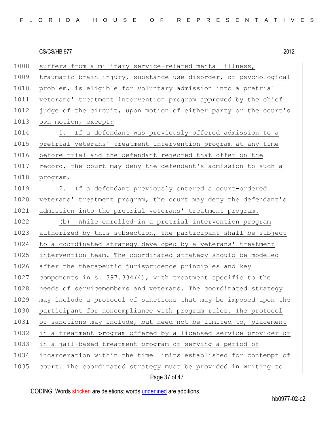| FLORIDA HOUSE OF REPRESENTATIVES |  |
|----------------------------------|--|
|----------------------------------|--|

| 1008 | suffers from a military service-related mental illness,          |
|------|------------------------------------------------------------------|
| 1009 | traumatic brain injury, substance use disorder, or psychological |
| 1010 | problem, is eligible for voluntary admission into a pretrial     |
| 1011 | veterans' treatment intervention program approved by the chief   |
| 1012 | judge of the circuit, upon motion of either party or the court's |
| 1013 | own motion, except:                                              |
| 1014 | 1. If a defendant was previously offered admission to a          |
| 1015 | pretrial veterans' treatment intervention program at any time    |
| 1016 | before trial and the defendant rejected that offer on the        |
| 1017 | record, the court may deny the defendant's admission to such a   |
| 1018 | program.                                                         |
| 1019 | 2. If a defendant previously entered a court-ordered             |
| 1020 | veterans' treatment program, the court may deny the defendant's  |
| 1021 | admission into the pretrial veterans' treatment program.         |
| 1022 | While enrolled in a pretrial intervention program<br>(b)         |
| 1023 | authorized by this subsection, the participant shall be subject  |
| 1024 | to a coordinated strategy developed by a veterans' treatment     |
| 1025 | intervention team. The coordinated strategy should be modeled    |
| 1026 | after the therapeutic jurisprudence principles and key           |
| 1027 | components in s. 397.334(4), with treatment specific to the      |
| 1028 | needs of servicemembers and veterans. The coordinated strategy   |
| 1029 | may include a protocol of sanctions that may be imposed upon the |
| 1030 | participant for noncompliance with program rules. The protocol   |
| 1031 | of sanctions may include, but need not be limited to, placement  |
| 1032 | in a treatment program offered by a licensed service provider or |
| 1033 | in a jail-based treatment program or serving a period of         |
| 1034 | incarceration within the time limits established for contempt of |
| 1035 | court. The coordinated strategy must be provided in writing to   |

Page 37 of 47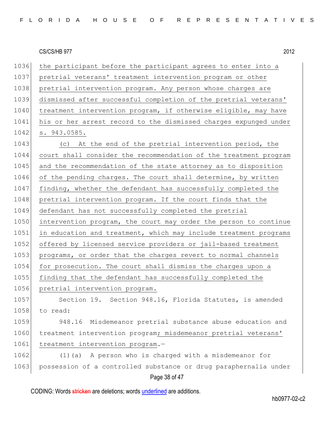| FLORIDA HOUSE OF REPRESENTATIVES |  |  |  |  |  |  |  |  |  |  |  |
|----------------------------------|--|--|--|--|--|--|--|--|--|--|--|
|----------------------------------|--|--|--|--|--|--|--|--|--|--|--|

Page 38 of 47 1036 the participant before the participant agrees to enter into a 1037 pretrial veterans' treatment intervention program or other 1038 pretrial intervention program. Any person whose charges are 1039 dismissed after successful completion of the pretrial veterans' 1040 treatment intervention program, if otherwise eligible, may have 1041 his or her arrest record to the dismissed charges expunged under 1042 s. 943.0585. 1043 (c) At the end of the pretrial intervention period, the 1044 court shall consider the recommendation of the treatment program 1045 and the recommendation of the state attorney as to disposition 1046 of the pending charges. The court shall determine, by written 1047 finding, whether the defendant has successfully completed the 1048 pretrial intervention program. If the court finds that the 1049 defendant has not successfully completed the pretrial 1050 intervention program, the court may order the person to continue 1051 in education and treatment, which may include treatment programs 1052 offered by licensed service providers or jail-based treatment 1053 programs, or order that the charges revert to normal channels 1054 for prosecution. The court shall dismiss the charges upon a 1055 finding that the defendant has successfully completed the 1056 pretrial intervention program. 1057 Section 19. Section 948.16, Florida Statutes, is amended 1058 to read: 1059 948.16 Misdemeanor pretrial substance abuse education and 1060 treatment intervention program; misdemeanor pretrial veterans' 1061 treatment intervention program.-1062 (1)(a) A person who is charged with a misdemeanor for 1063 possession of a controlled substance or drug paraphernalia under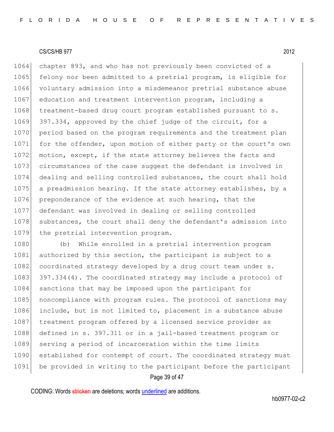1064 chapter 893, and who has not previously been convicted of a 1065 felony nor been admitted to a pretrial program, is eligible for 1066 voluntary admission into a misdemeanor pretrial substance abuse 1067 education and treatment intervention program, including a 1068 treatment-based drug court program established pursuant to s. 1069 397.334, approved by the chief judge of the circuit, for a 1070 period based on the program requirements and the treatment plan 1071 for the offender, upon motion of either party or the court's own 1072 motion, except, if the state attorney believes the facts and 1073 circumstances of the case suggest the defendant is involved in 1074 dealing and selling controlled substances, the court shall hold 1075 a preadmission hearing. If the state attorney establishes, by a 1076 preponderance of the evidence at such hearing, that the 1077 defendant was involved in dealing or selling controlled 1078 substances, the court shall deny the defendant's admission into 1079 the pretrial intervention program.

1080 (b) While enrolled in a pretrial intervention program 1081 authorized by this section, the participant is subject to a 1082 coordinated strategy developed by a drug court team under s. 1083 397.334(4). The coordinated strategy may include a protocol of 1084 sanctions that may be imposed upon the participant for 1085 | noncompliance with program rules. The protocol of sanctions may 1086 include, but is not limited to, placement in a substance abuse 1087 treatment program offered by a licensed service provider as 1088 defined in s. 397.311 or in a jail-based treatment program or 1089 serving a period of incarceration within the time limits 1090 established for contempt of court. The coordinated strategy must 1091 be provided in writing to the participant before the participant

# Page 39 of 47

CODING: Words stricken are deletions; words underlined are additions.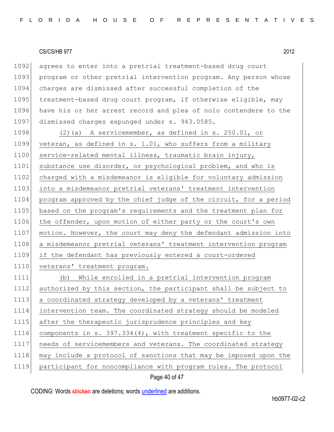1092 agrees to enter into a pretrial treatment-based drug court 1093 program or other pretrial intervention program. Any person whose 1094 charges are dismissed after successful completion of the 1095 treatment-based drug court program, if otherwise eligible, may 1096 have his or her arrest record and plea of nolo contendere to the 1097 dismissed charges expunged under s. 943.0585.

1098 (2)(a) A servicemember, as defined in s. 250.01, or 1099 veteran, as defined in s. 1.01, who suffers from a military 1100 service-related mental illness, traumatic brain injury, 1101 substance use disorder, or psychological problem, and who is 1102 charged with a misdemeanor is eligible for voluntary admission 1103 into a misdemeanor pretrial veterans' treatment intervention 1104 program approved by the chief judge of the circuit, for a period 1105 based on the program's requirements and the treatment plan for 1106 the offender, upon motion of either party or the court's own 1107 motion. However, the court may deny the defendant admission into 1108 a misdemeanor pretrial veterans' treatment intervention program 1109 if the defendant has previously entered a court-ordered 1110 veterans' treatment program.

 (b) While enrolled in a pretrial intervention program 1112 authorized by this section, the participant shall be subject to a coordinated strategy developed by a veterans' treatment intervention team. The coordinated strategy should be modeled 1115 after the therapeutic jurisprudence principles and key components in s. 397.334(4), with treatment specific to the needs of servicemembers and veterans. The coordinated strategy may include a protocol of sanctions that may be imposed upon the 1119 participant for noncompliance with program rules. The protocol

# Page 40 of 47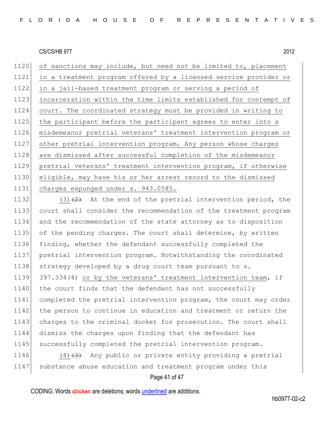1120 of sanctions may include, but need not be limited to, placement in a treatment program offered by a licensed service provider or in a jail-based treatment program or serving a period of incarceration within the time limits established for contempt of court. The coordinated strategy must be provided in writing to the participant before the participant agrees to enter into a misdemeanor pretrial veterans' treatment intervention program or other pretrial intervention program. Any person whose charges 1128 are dismissed after successful completion of the misdemeanor pretrial veterans' treatment intervention program, if otherwise eligible, may have his or her arrest record to the dismissed charges expunged under s. 943.0585.

1132 (3) $(2)$  At the end of the pretrial intervention period, the 1133 court shall consider the recommendation of the treatment program 1134 and the recommendation of the state attorney as to disposition 1135 of the pending charges. The court shall determine, by written 1136 finding, whether the defendant successfully completed the 1137 pretrial intervention program. Notwithstanding the coordinated 1138 strategy developed by a drug court team pursuant to s. 1139 397.334(4) or by the veterans' treatment intervention team, if 1140 the court finds that the defendant has not successfully 1141 completed the pretrial intervention program, the court may order 1142 the person to continue in education and treatment or return the 1143 charges to the criminal docket for prosecution. The court shall 1144 dismiss the charges upon finding that the defendant has 1145 successfully completed the pretrial intervention program.

1146 (4) $(4)$  Any public or private entity providing a pretrial 1147 substance abuse education and treatment program under this

# Page 41 of 47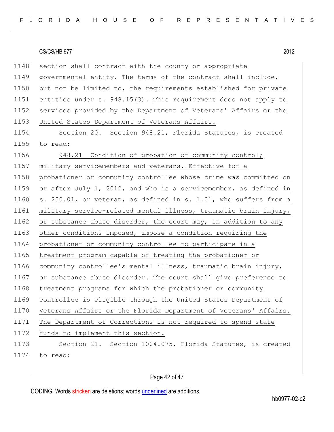1148 section shall contract with the county or appropriate 1149 governmental entity. The terms of the contract shall include, 1150 but not be limited to, the requirements established for private 1151 entities under s. 948.15(3). This requirement does not apply to 1152 services provided by the Department of Veterans' Affairs or the 1153 United States Department of Veterans Affairs.

1154 Section 20. Section 948.21, Florida Statutes, is created 1155 to read:

1156 948.21 Condition of probation or community control; 1157 military servicemembers and veterans.-Effective for a 1158 probationer or community controllee whose crime was committed on 1159 or after July 1, 2012, and who is a servicemember, as defined in 1160 s. 250.01, or veteran, as defined in s. 1.01, who suffers from a 1161 military service-related mental illness, traumatic brain injury, 1162 or substance abuse disorder, the court may, in addition to any 1163 other conditions imposed, impose a condition requiring the 1164 probationer or community controllee to participate in a 1165 treatment program capable of treating the probationer or 1166 community controllee's mental illness, traumatic brain injury, 1167 or substance abuse disorder. The court shall give preference to 1168 treatment programs for which the probationer or community 1169 controllee is eligible through the United States Department of 1170 Veterans Affairs or the Florida Department of Veterans' Affairs. 1171 The Department of Corrections is not required to spend state 1172 funds to implement this section. 1173 Section 21. Section 1004.075, Florida Statutes, is created 1174 to read:

# Page 42 of 47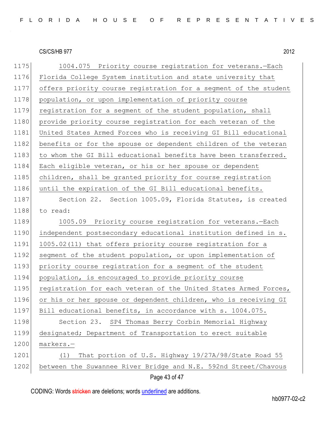1175 1004.075 Priority course registration for veterans. - Each 1176 Florida College System institution and state university that 1177 offers priority course registration for a segment of the student 1178 population, or upon implementation of priority course 1179 registration for a segment of the student population, shall 1180 provide priority course registration for each veteran of the 1181 United States Armed Forces who is receiving GI Bill educational 1182 benefits or for the spouse or dependent children of the veteran 1183 to whom the GI Bill educational benefits have been transferred. 1184 Each eligible veteran, or his or her spouse or dependent 1185 children, shall be granted priority for course registration 1186 until the expiration of the GI Bill educational benefits. 1187 Section 22. Section 1005.09, Florida Statutes, is created 1188 to read: 1189 1005.09 Priority course registration for veterans. - Each 1190 independent postsecondary educational institution defined in s. 1191 1005.02(11) that offers priority course registration for a 1192 segment of the student population, or upon implementation of 1193 priority course registration for a segment of the student 1194 population, is encouraged to provide priority course 1195 registration for each veteran of the United States Armed Forces, 1196 or his or her spouse or dependent children, who is receiving GI 1197 Bill educational benefits, in accordance with s. 1004.075. 1198 Section 23. SP4 Thomas Berry Corbin Memorial Highway 1199 designated; Department of Transportation to erect suitable 1200 markers.-1201 (1) That portion of U.S. Highway 19/27A/98/State Road 55 1202 between the Suwannee River Bridge and N.E. 592nd Street/Chavous

Page 43 of 47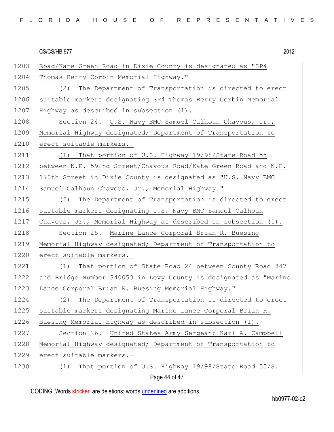|  |  |  |  |  | FLORIDA HOUSE OF REPRESENTATIVES |  |  |  |  |  |  |  |  |
|--|--|--|--|--|----------------------------------|--|--|--|--|--|--|--|--|
|  |  |  |  |  |                                  |  |  |  |  |  |  |  |  |

| 1203 | Road/Kate Green Road in Dixie County is designated as "SP4       |
|------|------------------------------------------------------------------|
| 1204 | Thomas Berry Corbin Memorial Highway."                           |
| 1205 | The Department of Transportation is directed to erect<br>(2)     |
| 1206 | suitable markers designating SP4 Thomas Berry Corbin Memorial    |
| 1207 | Highway as described in subsection (1).                          |
| 1208 | Section 24. U.S. Navy BMC Samuel Calhoun Chavous, Jr.,           |
| 1209 | Memorial Highway designated; Department of Transportation to     |
| 1210 | erect suitable markers.-                                         |
| 1211 | (1) That portion of U.S. Highway 19/98/State Road 55             |
| 1212 | between N.E. 592nd Street/Chavous Road/Kate Green Road and N.E.  |
| 1213 | 170th Street in Dixie County is designated as "U.S. Navy BMC     |
| 1214 | Samuel Calhoun Chavous, Jr., Memorial Highway."                  |
| 1215 | The Department of Transportation is directed to erect<br>(2)     |
| 1216 | suitable markers designating U.S. Navy BMC Samuel Calhoun        |
| 1217 | Chavous, Jr., Memorial Highway as described in subsection (1).   |
| 1218 | Section 25. Marine Lance Corporal Brian R. Buesing               |
| 1219 | Memorial Highway designated; Department of Transportation to     |
| 1220 | erect suitable markers.-                                         |
| 1221 | That portion of State Road 24 between County Road 347<br>(1)     |
| 1222 | and Bridge Number 340053 in Levy County is designated as "Marine |
| 1223 | Lance Corporal Brian R. Buesing Memorial Highway."               |
| 1224 | The Department of Transportation is directed to erect<br>(2)     |
| 1225 | suitable markers designating Marine Lance Corporal Brian R.      |
| 1226 | Buesing Memorial Highway as described in subsection (1).         |
| 1227 | Section 26.<br>United States Army Sergeant Karl A. Campbell      |
| 1228 | Memorial Highway designated; Department of Transportation to     |
| 1229 | erect suitable markers.-                                         |
| 1230 | That portion of U.S. Highway 19/98/State Road 55/S.<br>(1)       |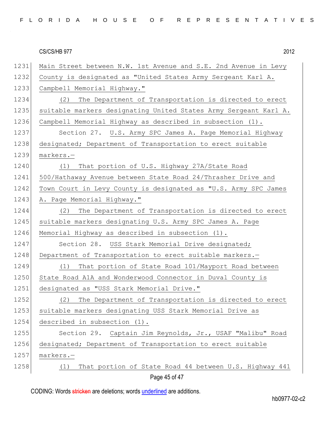|  |  |  |  |  | FLORIDA HOUSE OF REPRESENTATIVES |  |  |  |  |  |  |  |  |
|--|--|--|--|--|----------------------------------|--|--|--|--|--|--|--|--|
|  |  |  |  |  |                                  |  |  |  |  |  |  |  |  |

| 1231 | Main Street between N.W. 1st Avenue and S.E. 2nd Avenue in Levy  |
|------|------------------------------------------------------------------|
| 1232 | County is designated as "United States Army Sergeant Karl A.     |
| 1233 | Campbell Memorial Highway."                                      |
| 1234 | (2)<br>The Department of Transportation is directed to erect     |
| 1235 | suitable markers designating United States Army Sergeant Karl A. |
| 1236 | Campbell Memorial Highway as described in subsection (1).        |
| 1237 | Section 27. U.S. Army SPC James A. Page Memorial Highway         |
| 1238 | designated; Department of Transportation to erect suitable       |
| 1239 | markers.-                                                        |
| 1240 | That portion of U.S. Highway 27A/State Road<br>(1)               |
| 1241 | 500/Hathaway Avenue between State Road 24/Thrasher Drive and     |
| 1242 | Town Court in Levy County is designated as "U.S. Army SPC James  |
| 1243 | A. Page Memorial Highway."                                       |
| 1244 | The Department of Transportation is directed to erect<br>(2)     |
| 1245 | suitable markers designating U.S. Army SPC James A. Page         |
| 1246 | Memorial Highway as described in subsection (1).                 |
| 1247 | Section 28. USS Stark Memorial Drive designated;                 |
| 1248 | Department of Transportation to erect suitable markers.-         |
| 1249 | That portion of State Road 101/Mayport Road between<br>(1)       |
| 1250 | State Road A1A and Wonderwood Connector in Duval County is       |
| 1251 | designated as "USS Stark Memorial Drive."                        |
| 1252 | (2) The Department of Transportation is directed to erect        |
| 1253 | suitable markers designating USS Stark Memorial Drive as         |
| 1254 | described in subsection (1).                                     |
| 1255 | Section 29. Captain Jim Reynolds, Jr., USAF "Malibu" Road        |
| 1256 | designated; Department of Transportation to erect suitable       |
| 1257 | markers.-                                                        |
| 1258 | That portion of State Road 44 between U.S. Highway 441<br>(1)    |
|      | Page 45 of 47                                                    |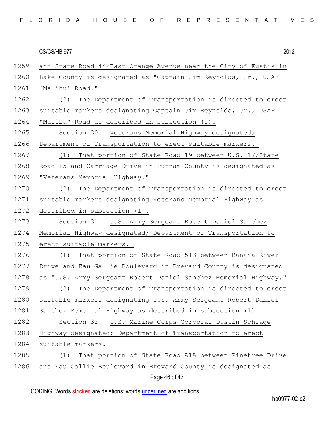|  |  |  |  |  | FLORIDA HOUSE OF REPRESENTATIVES |  |  |  |  |  |  |  |  |
|--|--|--|--|--|----------------------------------|--|--|--|--|--|--|--|--|
|  |  |  |  |  |                                  |  |  |  |  |  |  |  |  |

|      | CS/CS/HB 977<br>2012                                            |
|------|-----------------------------------------------------------------|
| 1259 | and State Road 44/East Orange Avenue near the City of Eustis in |
| 1260 | Lake County is designated as "Captain Jim Reynolds, Jr., USAF   |
| 1261 | 'Malibu' Road."                                                 |
| 1262 | The Department of Transportation is directed to erect<br>(2)    |
| 1263 | suitable markers designating Captain Jim Reynolds, Jr., USAF    |
| 1264 | "Malibu" Road as described in subsection (1).                   |
| 1265 | Section 30. Veterans Memorial Highway designated;               |
| 1266 | Department of Transportation to erect suitable markers.-        |
| 1267 | That portion of State Road 19 between U.S. 17/State<br>(1)      |
| 1268 | Road 15 and Carriage Drive in Putnam County is designated as    |
| 1269 | "Veterans Memorial Highway."                                    |
| 1270 | The Department of Transportation is directed to erect<br>(2)    |
| 1271 | suitable markers designating Veterans Memorial Highway as       |
| 1272 | described in subsection (1).                                    |
| 1273 | Section 31. U.S. Army Sergeant Robert Daniel Sanchez            |
| 1274 | Memorial Highway designated; Department of Transportation to    |
| 1275 | erect suitable markers.-                                        |
| 1276 | (1)<br>That portion of State Road 513 between Banana River      |
| 1277 | Drive and Eau Gallie Boulevard in Brevard County is designated  |
| 1278 | as "U.S. Army Sergeant Robert Daniel Sanchez Memorial Highway." |
| 1279 | The Department of Transportation is directed to erect<br>(2)    |
| 1280 | suitable markers designating U.S. Army Sergeant Robert Daniel   |
| 1281 | Sanchez Memorial Highway as described in subsection (1).        |
| 1282 | Section 32. U.S. Marine Corps Corporal Dustin Schrage           |
| 1283 | Highway designated; Department of Transportation to erect       |
| 1284 | suitable markers.-                                              |
| 1285 | That portion of State Road A1A between Pinetree Drive<br>(1)    |
| 1286 | and Eau Gallie Boulevard in Brevard County is designated as     |
|      |                                                                 |

Page 46 of 47